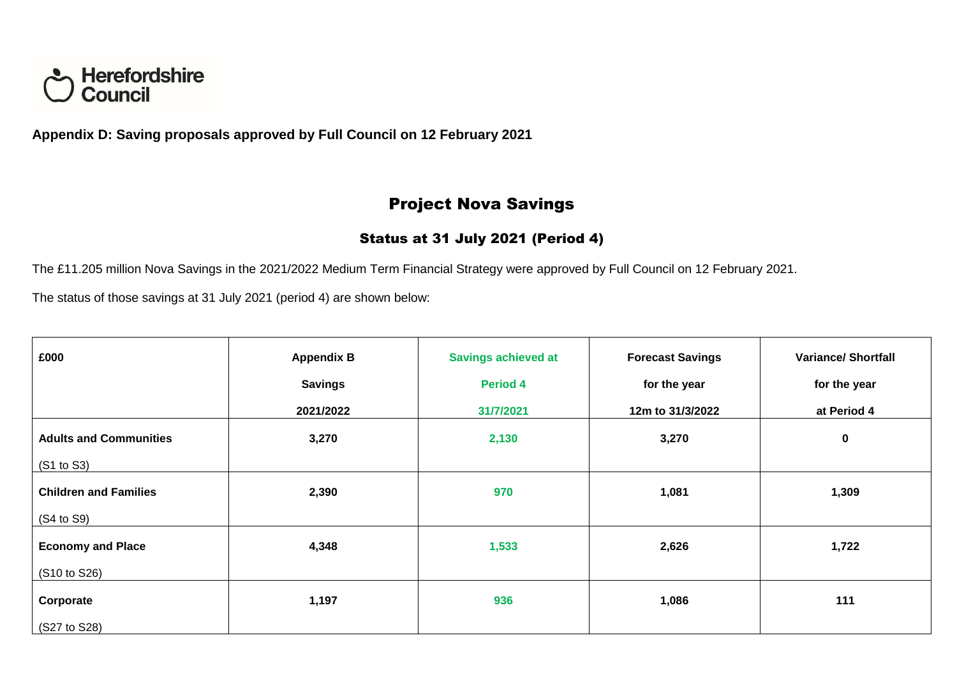

**Appendix D: Saving proposals approved by Full Council on 12 February 2021**

## Project Nova Savings

### Status at 31 July 2021 (Period 4)

The £11.205 million Nova Savings in the 2021/2022 Medium Term Financial Strategy were approved by Full Council on 12 February 2021.

The status of those savings at 31 July 2021 (period 4) are shown below:

| £000                          | <b>Appendix B</b> | <b>Savings achieved at</b> | <b>Forecast Savings</b> | <b>Variance/ Shortfall</b> |
|-------------------------------|-------------------|----------------------------|-------------------------|----------------------------|
|                               | <b>Savings</b>    | <b>Period 4</b>            | for the year            | for the year               |
|                               | 2021/2022         | 31/7/2021                  | 12m to 31/3/2022        | at Period 4                |
| <b>Adults and Communities</b> | 3,270             | 2,130                      | 3,270                   | $\mathbf 0$                |
| (S1 to S3)                    |                   |                            |                         |                            |
| <b>Children and Families</b>  | 2,390             | 970                        | 1,081                   | 1,309                      |
| (S4 to S9)                    |                   |                            |                         |                            |
| <b>Economy and Place</b>      | 4,348             | 1,533                      | 2,626                   | 1,722                      |
| (S10 to S26)                  |                   |                            |                         |                            |
| Corporate                     | 1,197             | 936                        | 1,086                   | 111                        |
| (S27 to S28)                  |                   |                            |                         |                            |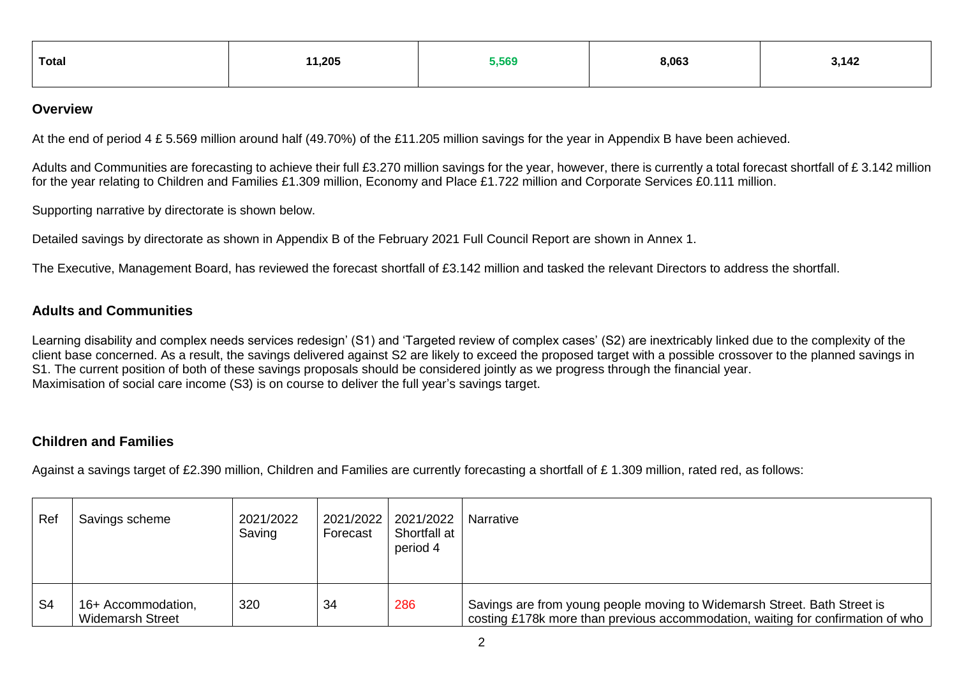| 11,205<br>Total | 5,569 | 8,063 | 3,142 |
|-----------------|-------|-------|-------|
|-----------------|-------|-------|-------|

#### **Overview**

At the end of period 4 £ 5.569 million around half (49.70%) of the £11.205 million savings for the year in Appendix B have been achieved.

Adults and Communities are forecasting to achieve their full £3.270 million savings for the year, however, there is currently a total forecast shortfall of £ 3.142 million for the year relating to Children and Families £1.309 million, Economy and Place £1.722 million and Corporate Services £0.111 million.

Supporting narrative by directorate is shown below.

Detailed savings by directorate as shown in Appendix B of the February 2021 Full Council Report are shown in Annex 1.

The Executive, Management Board, has reviewed the forecast shortfall of £3.142 million and tasked the relevant Directors to address the shortfall.

#### **Adults and Communities**

Learning disability and complex needs services redesign' (S1) and 'Targeted review of complex cases' (S2) are inextricably linked due to the complexity of the client base concerned. As a result, the savings delivered against S2 are likely to exceed the proposed target with a possible crossover to the planned savings in S1. The current position of both of these savings proposals should be considered jointly as we progress through the financial year. Maximisation of social care income (S3) is on course to deliver the full year's savings target.

#### **Children and Families**

Against a savings target of £2.390 million, Children and Families are currently forecasting a shortfall of £1.309 million, rated red, as follows:

| Ref            | Savings scheme                                | 2021/2022<br>Saving | 2021/2022<br>Forecast | 2021/2022<br>Shortfall at<br>period 4 | Narrative                                                                                                                                                   |
|----------------|-----------------------------------------------|---------------------|-----------------------|---------------------------------------|-------------------------------------------------------------------------------------------------------------------------------------------------------------|
| S <sub>4</sub> | 16+ Accommodation,<br><b>Widemarsh Street</b> | 320                 | 34                    | 286                                   | Savings are from young people moving to Widemarsh Street. Bath Street is<br>costing £178k more than previous accommodation, waiting for confirmation of who |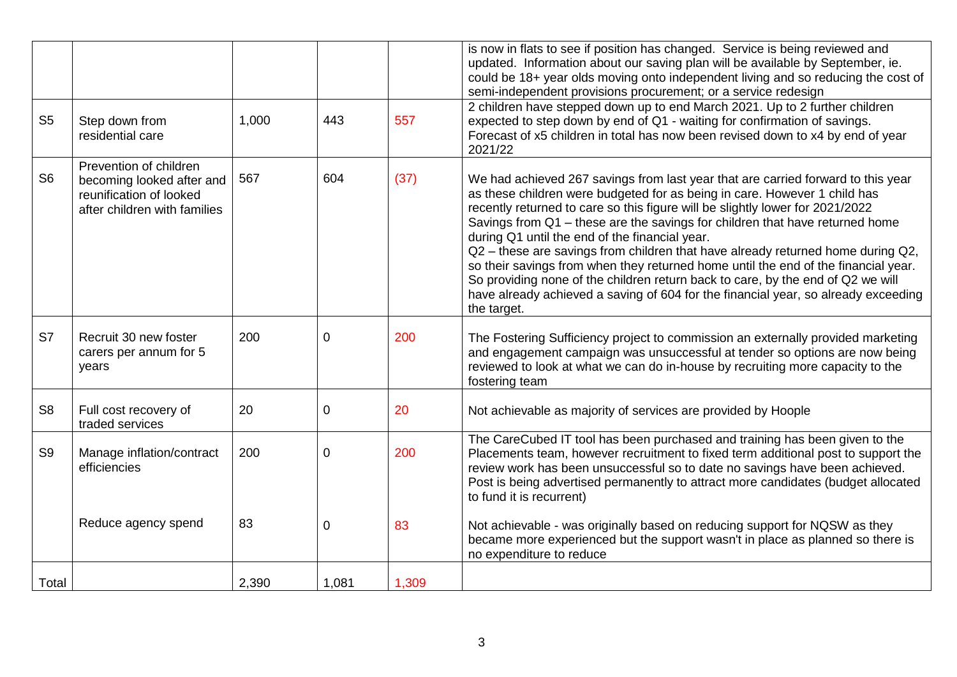|                |                                                                                                                |       |          |       | is now in flats to see if position has changed. Service is being reviewed and<br>updated. Information about our saving plan will be available by September, ie.<br>could be 18+ year olds moving onto independent living and so reducing the cost of<br>semi-independent provisions procurement; or a service redesign                                                                                                                                                                                                                                                                                                                                                                                                                            |
|----------------|----------------------------------------------------------------------------------------------------------------|-------|----------|-------|---------------------------------------------------------------------------------------------------------------------------------------------------------------------------------------------------------------------------------------------------------------------------------------------------------------------------------------------------------------------------------------------------------------------------------------------------------------------------------------------------------------------------------------------------------------------------------------------------------------------------------------------------------------------------------------------------------------------------------------------------|
| S <sub>5</sub> | Step down from<br>residential care                                                                             | 1,000 | 443      | 557   | 2 children have stepped down up to end March 2021. Up to 2 further children<br>expected to step down by end of Q1 - waiting for confirmation of savings.<br>Forecast of x5 children in total has now been revised down to x4 by end of year<br>2021/22                                                                                                                                                                                                                                                                                                                                                                                                                                                                                            |
| S <sub>6</sub> | Prevention of children<br>becoming looked after and<br>reunification of looked<br>after children with families | 567   | 604      | (37)  | We had achieved 267 savings from last year that are carried forward to this year<br>as these children were budgeted for as being in care. However 1 child has<br>recently returned to care so this figure will be slightly lower for 2021/2022<br>Savings from Q1 - these are the savings for children that have returned home<br>during Q1 until the end of the financial year.<br>Q2 - these are savings from children that have already returned home during Q2,<br>so their savings from when they returned home until the end of the financial year.<br>So providing none of the children return back to care, by the end of Q2 we will<br>have already achieved a saving of 604 for the financial year, so already exceeding<br>the target. |
| S7             | Recruit 30 new foster<br>carers per annum for 5<br>years                                                       | 200   | 0        | 200   | The Fostering Sufficiency project to commission an externally provided marketing<br>and engagement campaign was unsuccessful at tender so options are now being<br>reviewed to look at what we can do in-house by recruiting more capacity to the<br>fostering team                                                                                                                                                                                                                                                                                                                                                                                                                                                                               |
| S <sub>8</sub> | Full cost recovery of<br>traded services                                                                       | 20    | 0        | 20    | Not achievable as majority of services are provided by Hoople                                                                                                                                                                                                                                                                                                                                                                                                                                                                                                                                                                                                                                                                                     |
| S <sub>9</sub> | Manage inflation/contract<br>efficiencies                                                                      | 200   | $\Omega$ | 200   | The CareCubed IT tool has been purchased and training has been given to the<br>Placements team, however recruitment to fixed term additional post to support the<br>review work has been unsuccessful so to date no savings have been achieved.<br>Post is being advertised permanently to attract more candidates (budget allocated<br>to fund it is recurrent)                                                                                                                                                                                                                                                                                                                                                                                  |
|                | Reduce agency spend                                                                                            | 83    | 0        | 83    | Not achievable - was originally based on reducing support for NQSW as they<br>became more experienced but the support wasn't in place as planned so there is<br>no expenditure to reduce                                                                                                                                                                                                                                                                                                                                                                                                                                                                                                                                                          |
| Total          |                                                                                                                | 2,390 | 1,081    | 1,309 |                                                                                                                                                                                                                                                                                                                                                                                                                                                                                                                                                                                                                                                                                                                                                   |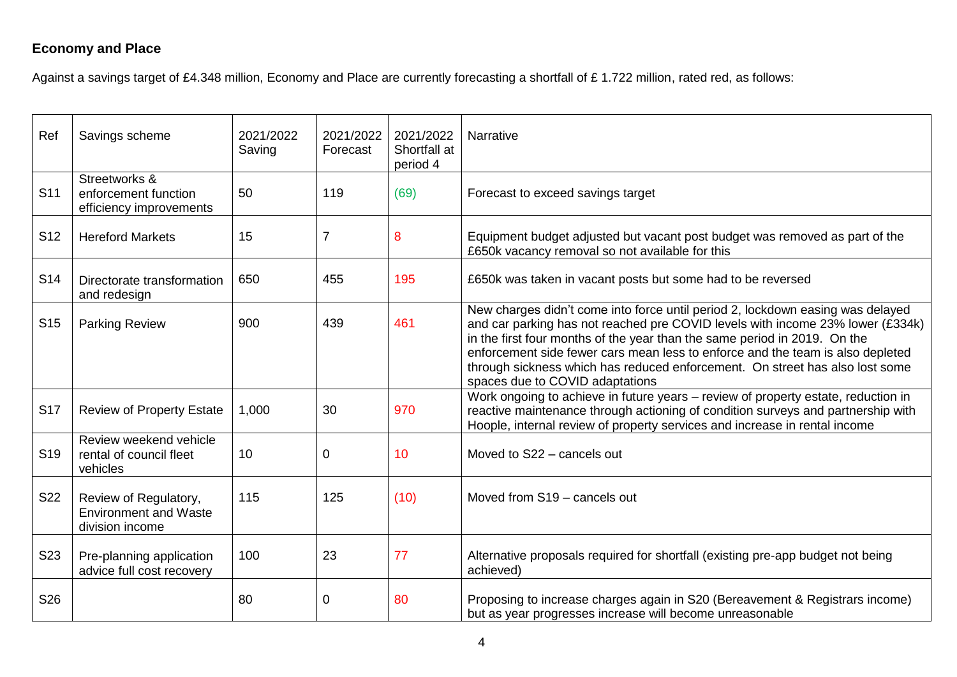### **Economy and Place**

Against a savings target of £4.348 million, Economy and Place are currently forecasting a shortfall of £1.722 million, rated red, as follows:

| Ref             | Savings scheme                                                           | 2021/2022<br>Saving | 2021/2022<br>Forecast | 2021/2022<br>Shortfall at<br>period 4 | Narrative                                                                                                                                                                                                                                                                                                                                                                                                                                          |
|-----------------|--------------------------------------------------------------------------|---------------------|-----------------------|---------------------------------------|----------------------------------------------------------------------------------------------------------------------------------------------------------------------------------------------------------------------------------------------------------------------------------------------------------------------------------------------------------------------------------------------------------------------------------------------------|
| S <sub>11</sub> | Streetworks &<br>enforcement function<br>efficiency improvements         | 50                  | 119                   | (69)                                  | Forecast to exceed savings target                                                                                                                                                                                                                                                                                                                                                                                                                  |
| S <sub>12</sub> | <b>Hereford Markets</b>                                                  | 15                  | $\overline{7}$        | 8                                     | Equipment budget adjusted but vacant post budget was removed as part of the<br>£650k vacancy removal so not available for this                                                                                                                                                                                                                                                                                                                     |
| S <sub>14</sub> | Directorate transformation<br>and redesign                               | 650                 | 455                   | 195                                   | £650k was taken in vacant posts but some had to be reversed                                                                                                                                                                                                                                                                                                                                                                                        |
| S <sub>15</sub> | <b>Parking Review</b>                                                    | 900                 | 439                   | 461                                   | New charges didn't come into force until period 2, lockdown easing was delayed<br>and car parking has not reached pre COVID levels with income 23% lower (£334k)<br>in the first four months of the year than the same period in 2019. On the<br>enforcement side fewer cars mean less to enforce and the team is also depleted<br>through sickness which has reduced enforcement. On street has also lost some<br>spaces due to COVID adaptations |
| <b>S17</b>      | <b>Review of Property Estate</b>                                         | 1,000               | 30                    | 970                                   | Work ongoing to achieve in future years - review of property estate, reduction in<br>reactive maintenance through actioning of condition surveys and partnership with<br>Hoople, internal review of property services and increase in rental income                                                                                                                                                                                                |
| S <sub>19</sub> | Review weekend vehicle<br>rental of council fleet<br>vehicles            | 10                  | 0                     | 10                                    | Moved to S22 - cancels out                                                                                                                                                                                                                                                                                                                                                                                                                         |
| S22             | Review of Regulatory,<br><b>Environment and Waste</b><br>division income | 115                 | 125                   | (10)                                  | Moved from S19 - cancels out                                                                                                                                                                                                                                                                                                                                                                                                                       |
| S23             | Pre-planning application<br>advice full cost recovery                    | 100                 | 23                    | 77                                    | Alternative proposals required for shortfall (existing pre-app budget not being<br>achieved)                                                                                                                                                                                                                                                                                                                                                       |
| S26             |                                                                          | 80                  | 0                     | 80                                    | Proposing to increase charges again in S20 (Bereavement & Registrars income)<br>but as year progresses increase will become unreasonable                                                                                                                                                                                                                                                                                                           |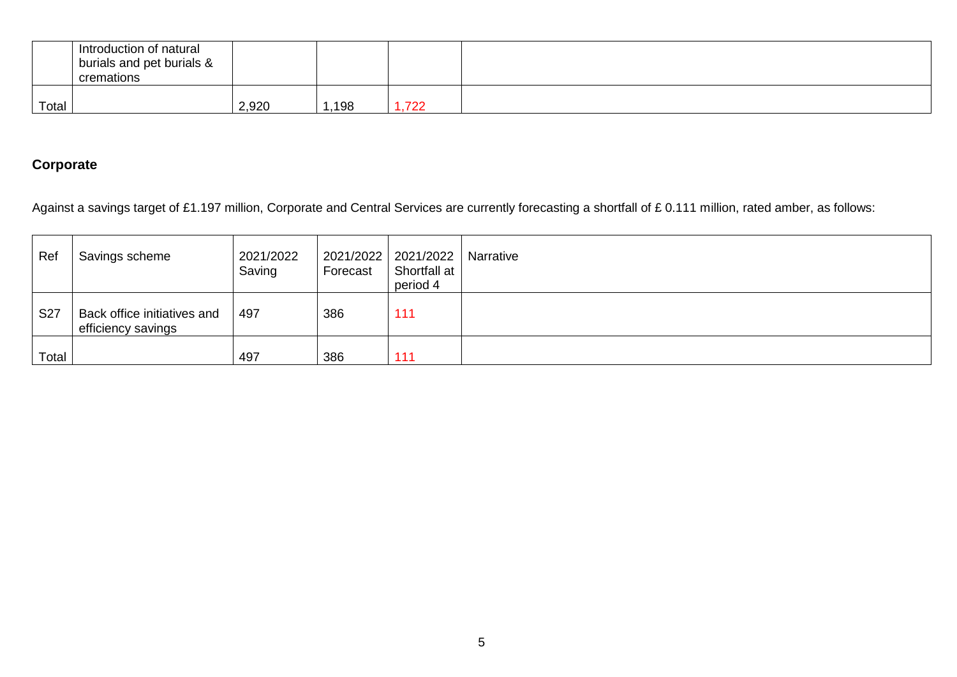|       | Introduction of natural<br>burials and pet burials &<br>cremations |       |      |      |  |
|-------|--------------------------------------------------------------------|-------|------|------|--|
| Total |                                                                    | 2,920 | ,198 | ,722 |  |

### **Corporate**

Against a savings target of £1.197 million, Corporate and Central Services are currently forecasting a shortfall of £ 0.111 million, rated amber, as follows:

| Ref        | Savings scheme                                    | 2021/2022<br>Saving | Forecast | 2021/2022 2021/2022<br>Shortfall at<br>period 4 | Narrative |
|------------|---------------------------------------------------|---------------------|----------|-------------------------------------------------|-----------|
| <b>S27</b> | Back office initiatives and<br>efficiency savings | 497                 | 386      | 111                                             |           |
| Total      |                                                   | 497                 | 386      | $-444$                                          |           |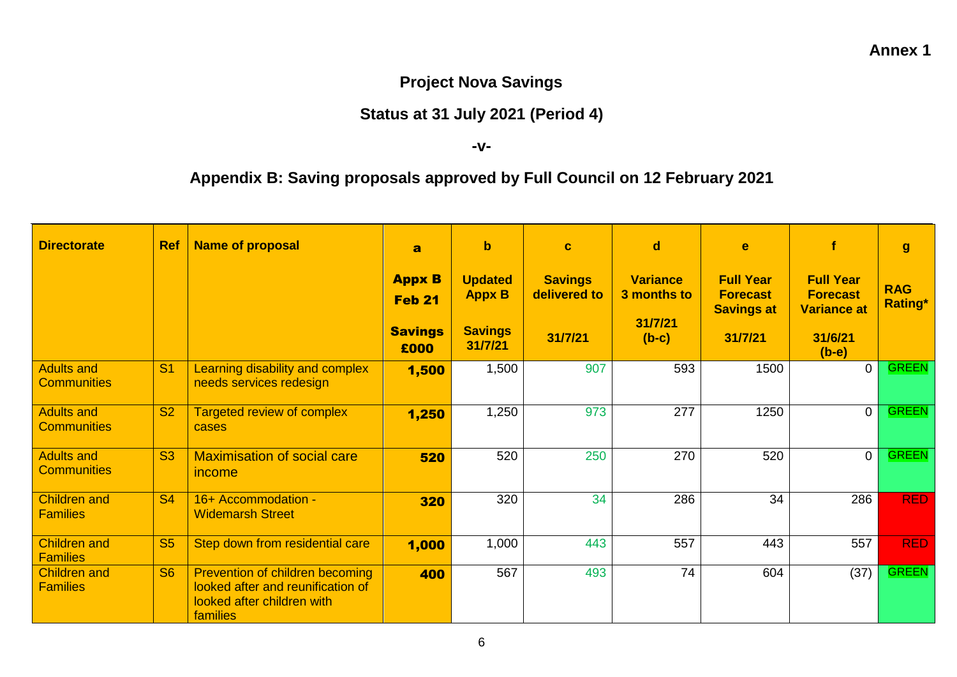## **Project Nova Savings**

## **Status at 31 July 2021 (Period 4)**

**-v-**

# **Appendix B: Saving proposals approved by Full Council on 12 February 2021**

| <b>Directorate</b>                     | <b>Ref</b> | <b>Name of proposal</b>                                                                                        | $\overline{\mathbf{a}}$                          | $\mathbf b$                                       | $\mathbf{C}$                   | d                                         | e                                                        |                                                           | $\mathbf{g}$                 |
|----------------------------------------|------------|----------------------------------------------------------------------------------------------------------------|--------------------------------------------------|---------------------------------------------------|--------------------------------|-------------------------------------------|----------------------------------------------------------|-----------------------------------------------------------|------------------------------|
|                                        |            |                                                                                                                | <b>Appx B</b><br><b>Feb 21</b><br><b>Savings</b> | <b>Updated</b><br><b>Appx B</b><br><b>Savings</b> | <b>Savings</b><br>delivered to | <b>Variance</b><br>3 months to<br>31/7/21 | <b>Full Year</b><br><b>Forecast</b><br><b>Savings at</b> | <b>Full Year</b><br><b>Forecast</b><br><b>Variance at</b> | <b>RAG</b><br><b>Rating*</b> |
|                                        |            |                                                                                                                | £000                                             | 31/7/21                                           | 31/7/21                        | $(b-c)$                                   | 31/7/21                                                  | 31/6/21<br>$(b-e)$                                        |                              |
| Adults and<br><b>Communities</b>       | <b>S1</b>  | Learning disability and complex<br>needs services redesign                                                     | 1,500                                            | 1,500                                             | 907                            | 593                                       | 1500                                                     | $\Omega$                                                  | <b>GREEN</b>                 |
| Adults and<br><b>Communities</b>       | <b>S2</b>  | <b>Targeted review of complex</b><br>cases                                                                     | 1,250                                            | 1,250                                             | 973                            | 277                                       | 1250                                                     | $\Omega$                                                  | <b>GREEN</b>                 |
| Adults and<br><b>Communities</b>       | <b>S3</b>  | <b>Maximisation of social care</b><br>income                                                                   | 520                                              | 520                                               | 250                            | 270                                       | 520                                                      | $\overline{0}$                                            | <b>GREEN</b>                 |
| <b>Children and</b><br><b>Families</b> | <b>S4</b>  | 16+ Accommodation -<br><b>Widemarsh Street</b>                                                                 | 320                                              | 320                                               | $\overline{34}$                | 286                                       | 34                                                       | 286                                                       | <b>RED</b>                   |
| <b>Children and</b><br><b>Families</b> | <b>S5</b>  | Step down from residential care                                                                                | 1,000                                            | 1,000                                             | 443                            | 557                                       | 443                                                      | 557                                                       | <b>RED</b>                   |
| <b>Children and</b><br><b>Families</b> | <b>S6</b>  | Prevention of children becoming<br>looked after and reunification of<br>looked after children with<br>families | 400                                              | 567                                               | 493                            | 74                                        | 604                                                      | (37)                                                      | <b>GREEN</b>                 |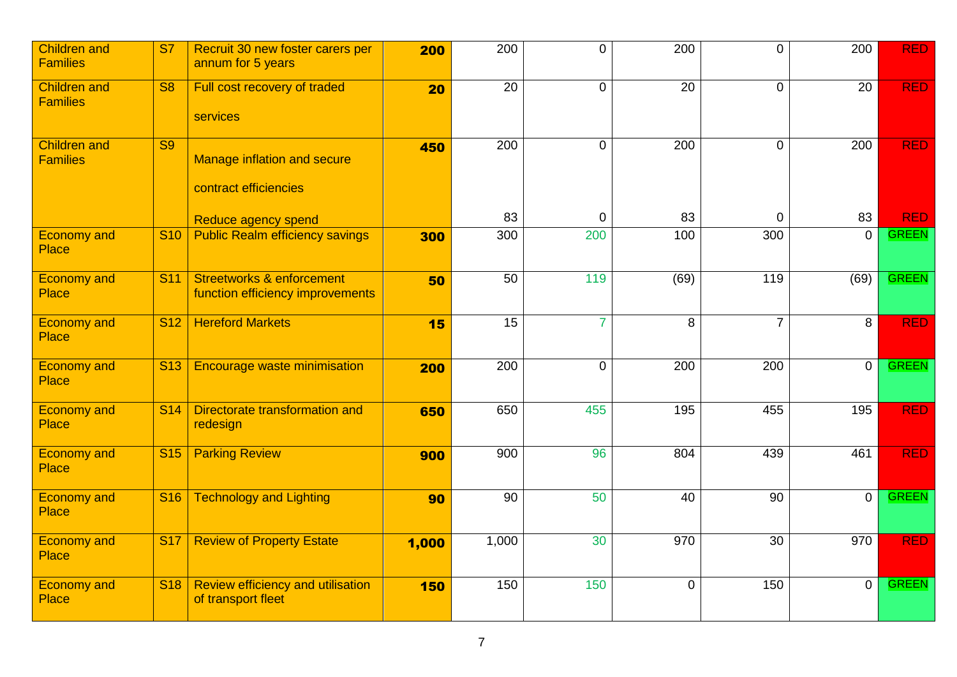| <b>Children and</b><br><b>Families</b> | <b>S7</b>              | Recruit 30 new foster carers per<br>annum for 5 years                    | 200   | 200              | $\overline{0}$  | 200              | $\overline{0}$ | 200             | <b>RED</b>   |
|----------------------------------------|------------------------|--------------------------------------------------------------------------|-------|------------------|-----------------|------------------|----------------|-----------------|--------------|
| <b>Children and</b><br><b>Families</b> | $\overline{\text{S8}}$ | Full cost recovery of traded<br>services                                 | 20    | $\overline{20}$  | $\mathbf 0$     | $\overline{20}$  | $\Omega$       | $\overline{20}$ | <b>RED</b>   |
| <b>Children and</b><br><b>Families</b> | $\overline{\text{S9}}$ | <b>Manage inflation and secure</b><br>contract efficiencies              | 450   | $\overline{200}$ | $\Omega$        | $\overline{200}$ | $\Omega$       | 200             | <b>RED</b>   |
|                                        |                        | Reduce agency spend                                                      |       | 83               | 0               | 83               | $\mathbf 0$    | 83              | <b>RED</b>   |
| <b>Economy and</b><br><b>Place</b>     | <b>S10</b>             | <b>Public Realm efficiency savings</b>                                   | 300   | 300              | 200             | 100              | 300            | $\Omega$        | <b>GREEN</b> |
| <b>Economy and</b><br><b>Place</b>     | <b>S11</b>             | <b>Streetworks &amp; enforcement</b><br>function efficiency improvements | 50    | 50               | 119             | (69)             | 119            | (69)            | <b>GREEN</b> |
| <b>Economy and</b><br><b>Place</b>     | <b>S12</b>             | <b>Hereford Markets</b>                                                  | 15    | $\overline{15}$  | $\overline{7}$  | 8                | $\overline{7}$ | 8               | <b>RED</b>   |
| <b>Economy and</b><br><b>Place</b>     | <b>S13</b>             | <b>Encourage waste minimisation</b>                                      | 200   | 200              | $\mathbf 0$     | 200              | 200            | $\overline{0}$  | <b>GREEN</b> |
| <b>Economy and</b><br><b>Place</b>     | <b>S14</b>             | Directorate transformation and<br>redesign                               | 650   | 650              | 455             | 195              | 455            | 195             | <b>RED</b>   |
| <b>Economy and</b><br><b>Place</b>     | <b>S15</b>             | <b>Parking Review</b>                                                    | 900   | 900              | 96              | 804              | 439            | 461             | <b>RED</b>   |
| <b>Economy and</b><br><b>Place</b>     | <b>S16</b>             | <b>Technology and Lighting</b>                                           | 90    | 90               | 50              | 40               | 90             | $\overline{0}$  | <b>GREEN</b> |
| <b>Economy and</b><br>Place            | <b>S17</b>             | <b>Review of Property Estate</b>                                         | 1,000 | 1,000            | $\overline{30}$ | 970              | 30             | 970             | <b>RED</b>   |
| <b>Economy and</b><br><b>Place</b>     | <b>S18</b>             | <b>Review efficiency and utilisation</b><br>of transport fleet           | 150   | 150              | 150             | 0                | 150            | $\overline{0}$  | <b>GREEN</b> |